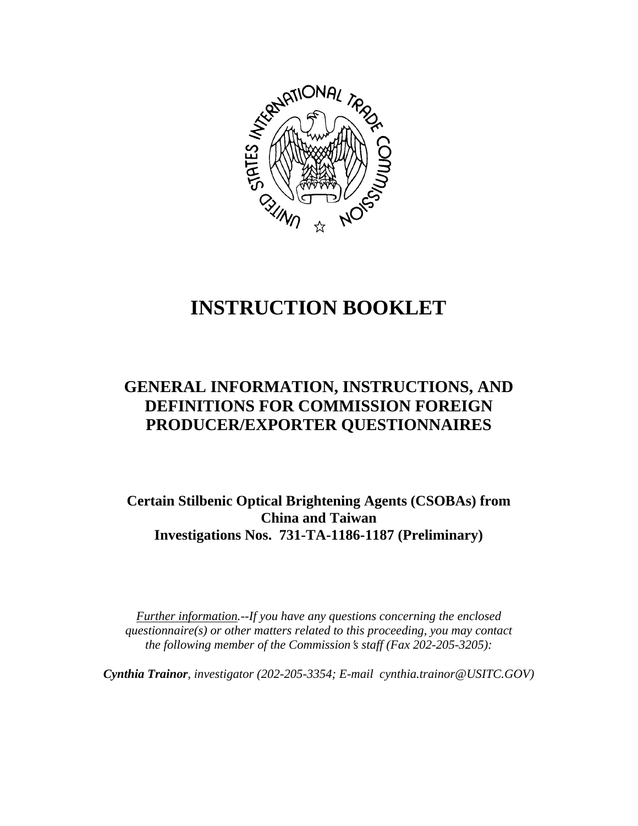

# **INSTRUCTION BOOKLET**

# **GENERAL INFORMATION, INSTRUCTIONS, AND DEFINITIONS FOR COMMISSION FOREIGN PRODUCER/EXPORTER QUESTIONNAIRES**

**Certain Stilbenic Optical Brightening Agents (CSOBAs) from China and Taiwan Investigations Nos. 731-TA-1186-1187 (Preliminary)**

*Further information.--If you have any questions concerning the enclosed questionnaire(s) or other matters related to this proceeding, you may contact the following member of the Commission*=*s staff (Fax 202-205-3205):* 

*Cynthia Trainor, investigator (202-205-3354; E-mail cynthia.trainor@USITC.GOV)*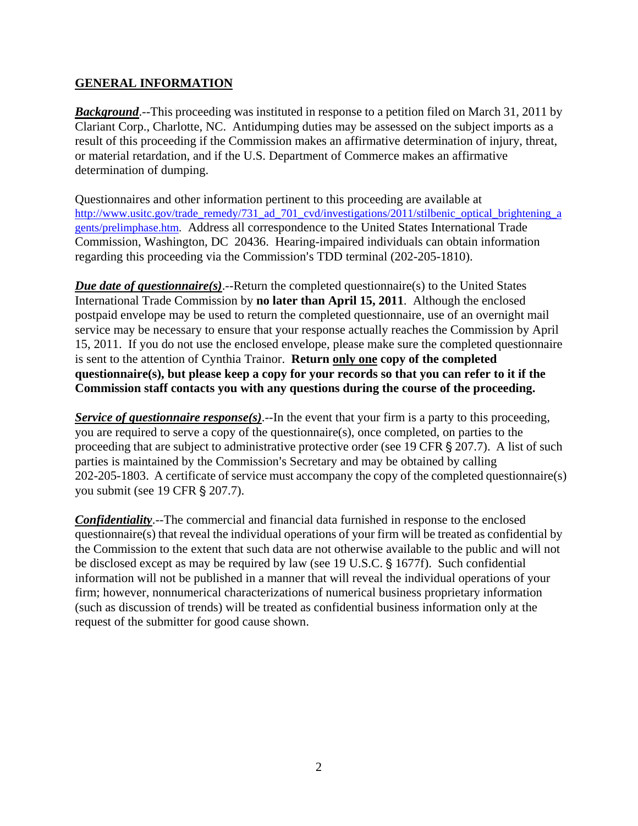# **GENERAL INFORMATION**

**Background.**--This proceeding was instituted in response to a petition filed on March 31, 2011 by Clariant Corp., Charlotte, NC. Antidumping duties may be assessed on the subject imports as a result of this proceeding if the Commission makes an affirmative determination of injury, threat, or material retardation, and if the U.S. Department of Commerce makes an affirmative determination of dumping.

Questionnaires and other information pertinent to this proceeding are available at http://www.usitc.gov/trade\_remedy/731\_ad\_701\_cvd/investigations/2011/stilbenic\_optical\_brightening\_a gents/prelimphase.htm. Address all correspondence to the United States International Trade Commission, Washington, DC 20436. Hearing-impaired individuals can obtain information regarding this proceeding via the Commission's TDD terminal (202-205-1810).

*Due date of questionnaire(s)*.--Return the completed questionnaire(s) to the United States International Trade Commission by **no later than April 15, 2011**. Although the enclosed postpaid envelope may be used to return the completed questionnaire, use of an overnight mail service may be necessary to ensure that your response actually reaches the Commission by April 15, 2011. If you do not use the enclosed envelope, please make sure the completed questionnaire is sent to the attention of Cynthia Trainor. **Return only one copy of the completed questionnaire(s), but please keep a copy for your records so that you can refer to it if the Commission staff contacts you with any questions during the course of the proceeding.**

*Service of questionnaire response(s)*.--In the event that your firm is a party to this proceeding, you are required to serve a copy of the questionnaire(s), once completed, on parties to the proceeding that are subject to administrative protective order (see 19 CFR  $\S 207.7$ ). A list of such parties is maintained by the Commission's Secretary and may be obtained by calling 202-205-1803. A certificate of service must accompany the copy of the completed questionnaire(s) you submit (see 19 CFR § 207.7).

*Confidentiality*.--The commercial and financial data furnished in response to the enclosed questionnaire(s) that reveal the individual operations of your firm will be treated as confidential by the Commission to the extent that such data are not otherwise available to the public and will not be disclosed except as may be required by law (see 19 U.S.C. § 1677f). Such confidential information will not be published in a manner that will reveal the individual operations of your firm; however, nonnumerical characterizations of numerical business proprietary information (such as discussion of trends) will be treated as confidential business information only at the request of the submitter for good cause shown.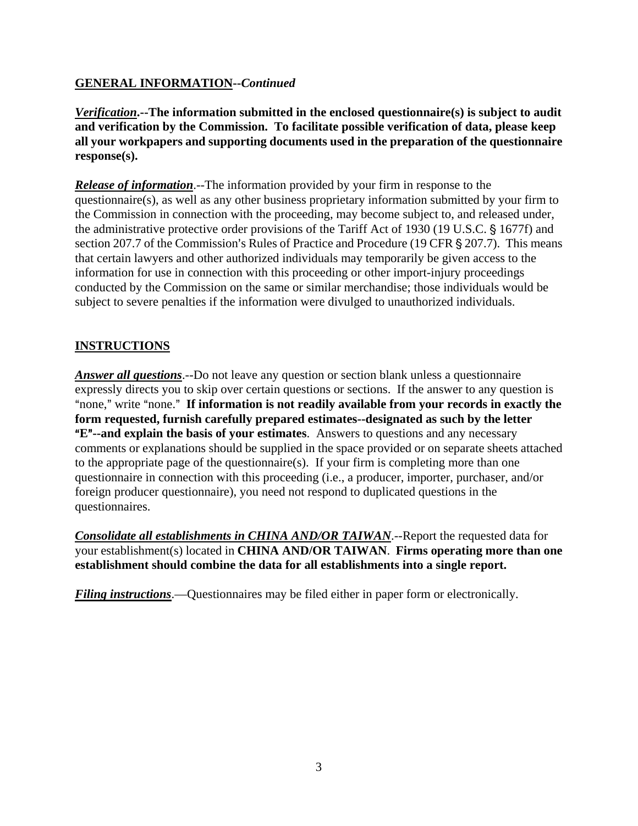# **GENERAL INFORMATION--***Continued*

*Verification***.--The information submitted in the enclosed questionnaire(s) is subject to audit and verification by the Commission. To facilitate possible verification of data, please keep all your workpapers and supporting documents used in the preparation of the questionnaire response(s).**

*Release of information*.--The information provided by your firm in response to the questionnaire(s), as well as any other business proprietary information submitted by your firm to the Commission in connection with the proceeding, may become subject to, and released under, the administrative protective order provisions of the Tariff Act of 1930 (19 U.S.C. § 1677f) and section 207.7 of the Commission's Rules of Practice and Procedure (19 CFR § 207.7). This means that certain lawyers and other authorized individuals may temporarily be given access to the information for use in connection with this proceeding or other import-injury proceedings conducted by the Commission on the same or similar merchandise; those individuals would be subject to severe penalties if the information were divulged to unauthorized individuals.

# **INSTRUCTIONS**

*Answer all questions*.--Do not leave any question or section blank unless a questionnaire expressly directs you to skip over certain questions or sections. If the answer to any question is "none," write "none." If information is not readily available from your records in exactly the **form requested, furnish carefully prepared estimates--designated as such by the letter E<sup>"</sup>--and explain the basis of your estimates**. Answers to questions and any necessary comments or explanations should be supplied in the space provided or on separate sheets attached to the appropriate page of the questionnaire(s). If your firm is completing more than one questionnaire in connection with this proceeding (i.e., a producer, importer, purchaser, and/or foreign producer questionnaire), you need not respond to duplicated questions in the questionnaires.

*Consolidate all establishments in CHINA AND/OR TAIWAN*.--Report the requested data for your establishment(s) located in **CHINA AND/OR TAIWAN**. **Firms operating more than one establishment should combine the data for all establishments into a single report.** 

*Filing instructions*.—Questionnaires may be filed either in paper form or electronically.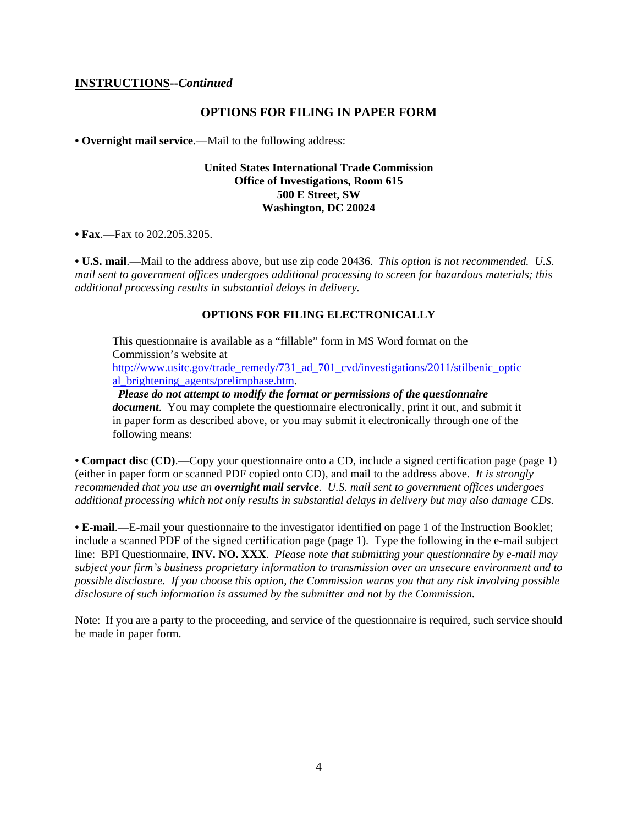#### **INSTRUCTIONS--***Continued*

#### **OPTIONS FOR FILING IN PAPER FORM**

**• Overnight mail service**.—Mail to the following address:

#### **United States International Trade Commission Office of Investigations, Room 615 500 E Street, SW Washington, DC 20024**

**• Fax**.—Fax to 202.205.3205.

**• U.S. mail**.—Mail to the address above, but use zip code 20436. *This option is not recommended. U.S. mail sent to government offices undergoes additional processing to screen for hazardous materials; this additional processing results in substantial delays in delivery.* 

#### **OPTIONS FOR FILING ELECTRONICALLY**

This questionnaire is available as a "fillable" form in MS Word format on the Commission's website at http://www.usitc.gov/trade\_remedy/731\_ad\_701\_cvd/investigations/2011/stilbenic\_optic\_ al\_brightening\_agents/prelimphase.htm.

 *Please do not attempt to modify the format or permissions of the questionnaire document*. You may complete the questionnaire electronically, print it out, and submit it in paper form as described above, or you may submit it electronically through one of the following means:

**• Compact disc (CD)**.—Copy your questionnaire onto a CD, include a signed certification page (page 1) (either in paper form or scanned PDF copied onto CD), and mail to the address above. *It is strongly recommended that you use an overnight mail service. U.S. mail sent to government offices undergoes additional processing which not only results in substantial delays in delivery but may also damage CDs.* 

**• E-mail**.—E-mail your questionnaire to the investigator identified on page 1 of the Instruction Booklet; include a scanned PDF of the signed certification page (page 1). Type the following in the e-mail subject line: BPI Questionnaire, **INV. NO. XXX**. *Please note that submitting your questionnaire by e-mail may subject your firm's business proprietary information to transmission over an unsecure environment and to possible disclosure. If you choose this option, the Commission warns you that any risk involving possible disclosure of such information is assumed by the submitter and not by the Commission.* 

Note: If you are a party to the proceeding, and service of the questionnaire is required, such service should be made in paper form.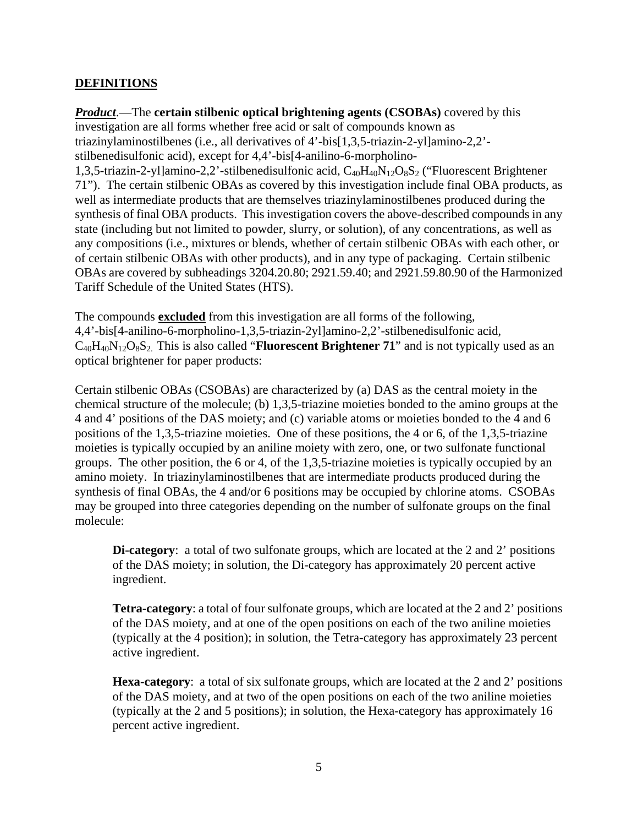## **DEFINITIONS**

*Product*.—The **certain stilbenic optical brightening agents (CSOBAs)** covered by this investigation are all forms whether free acid or salt of compounds known as triazinylaminostilbenes (i.e., all derivatives of 4'-bis[1,3,5-triazin-2-yl]amino-2,2' stilbenedisulfonic acid), except for 4,4'-bis[4-anilino-6-morpholino-1,3,5-triazin-2-yl]amino-2,2'-stilbenedisulfonic acid,  $C_{40}H_{40}N_{12}O_8S_2$  ("Fluorescent Brightener 71"). The certain stilbenic OBAs as covered by this investigation include final OBA products, as well as intermediate products that are themselves triazinylaminostilbenes produced during the synthesis of final OBA products. This investigation covers the above-described compounds in any state (including but not limited to powder, slurry, or solution), of any concentrations, as well as any compositions (i.e., mixtures or blends, whether of certain stilbenic OBAs with each other, or of certain stilbenic OBAs with other products), and in any type of packaging. Certain stilbenic OBAs are covered by subheadings 3204.20.80; 2921.59.40; and 2921.59.80.90 of the Harmonized Tariff Schedule of the United States (HTS).

The compounds **excluded** from this investigation are all forms of the following, 4,4'-bis[4-anilino-6-morpholino-1,3,5-triazin-2yl]amino-2,2'-stilbenedisulfonic acid,  $C_{40}H_{40}N_{12}O_8S_2$ . This is also called "**Fluorescent Brightener 71**" and is not typically used as an optical brightener for paper products:

Certain stilbenic OBAs (CSOBAs) are characterized by (a) DAS as the central moiety in the chemical structure of the molecule; (b) 1,3,5-triazine moieties bonded to the amino groups at the 4 and 4' positions of the DAS moiety; and (c) variable atoms or moieties bonded to the 4 and 6 positions of the 1,3,5-triazine moieties. One of these positions, the 4 or 6, of the 1,3,5-triazine moieties is typically occupied by an aniline moiety with zero, one, or two sulfonate functional groups. The other position, the 6 or 4, of the 1,3,5-triazine moieties is typically occupied by an amino moiety. In triazinylaminostilbenes that are intermediate products produced during the synthesis of final OBAs, the 4 and/or 6 positions may be occupied by chlorine atoms. CSOBAs may be grouped into three categories depending on the number of sulfonate groups on the final molecule:

**Di-category:** a total of two sulfonate groups, which are located at the 2 and 2' positions of the DAS moiety; in solution, the Di-category has approximately 20 percent active ingredient.

**Tetra-category**: a total of four sulfonate groups, which are located at the 2 and 2' positions of the DAS moiety, and at one of the open positions on each of the two aniline moieties (typically at the 4 position); in solution, the Tetra-category has approximately 23 percent active ingredient.

**Hexa-category**: a total of six sulfonate groups, which are located at the 2 and 2' positions of the DAS moiety, and at two of the open positions on each of the two aniline moieties (typically at the 2 and 5 positions); in solution, the Hexa-category has approximately 16 percent active ingredient.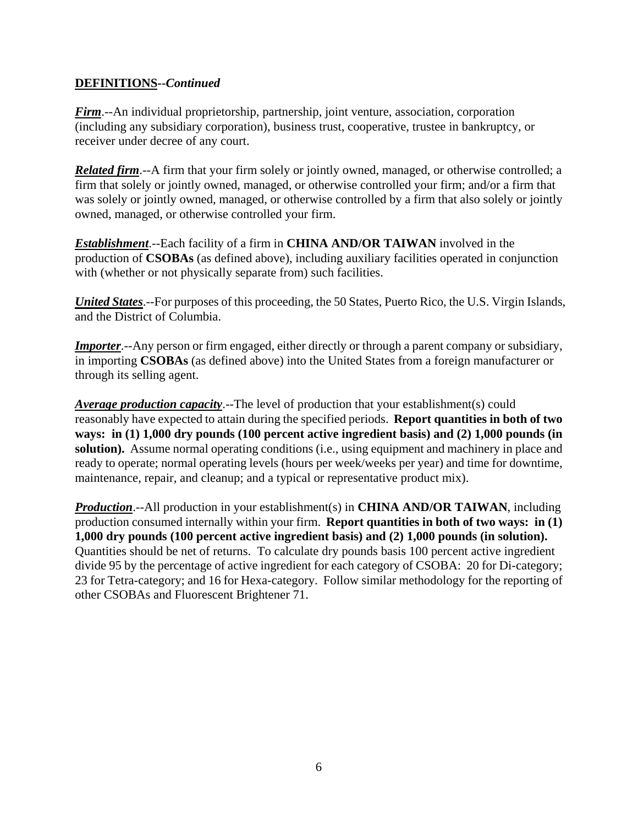## **DEFINITIONS--***Continued*

*Firm*.--An individual proprietorship, partnership, joint venture, association, corporation (including any subsidiary corporation), business trust, cooperative, trustee in bankruptcy, or receiver under decree of any court.

*Related firm*.--A firm that your firm solely or jointly owned, managed, or otherwise controlled; a firm that solely or jointly owned, managed, or otherwise controlled your firm; and/or a firm that was solely or jointly owned, managed, or otherwise controlled by a firm that also solely or jointly owned, managed, or otherwise controlled your firm.

*Establishment*.--Each facility of a firm in **CHINA AND/OR TAIWAN** involved in the production of **CSOBAs** (as defined above), including auxiliary facilities operated in conjunction with (whether or not physically separate from) such facilities.

*United States*.--For purposes of this proceeding, the 50 States, Puerto Rico, the U.S. Virgin Islands, and the District of Columbia.

*Importer*.--Any person or firm engaged, either directly or through a parent company or subsidiary, in importing **CSOBAs** (as defined above) into the United States from a foreign manufacturer or through its selling agent.

*Average production capacity*.--The level of production that your establishment(s) could reasonably have expected to attain during the specified periods. **Report quantities in both of two ways: in (1) 1,000 dry pounds (100 percent active ingredient basis) and (2) 1,000 pounds (in solution).** Assume normal operating conditions (i.e., using equipment and machinery in place and ready to operate; normal operating levels (hours per week/weeks per year) and time for downtime, maintenance, repair, and cleanup; and a typical or representative product mix).

*Production*.--All production in your establishment(s) in **CHINA AND/OR TAIWAN**, including production consumed internally within your firm. **Report quantities in both of two ways: in (1) 1,000 dry pounds (100 percent active ingredient basis) and (2) 1,000 pounds (in solution).** Quantities should be net of returns. To calculate dry pounds basis 100 percent active ingredient divide 95 by the percentage of active ingredient for each category of CSOBA: 20 for Di-category; 23 for Tetra-category; and 16 for Hexa-category. Follow similar methodology for the reporting of other CSOBAs and Fluorescent Brightener 71.